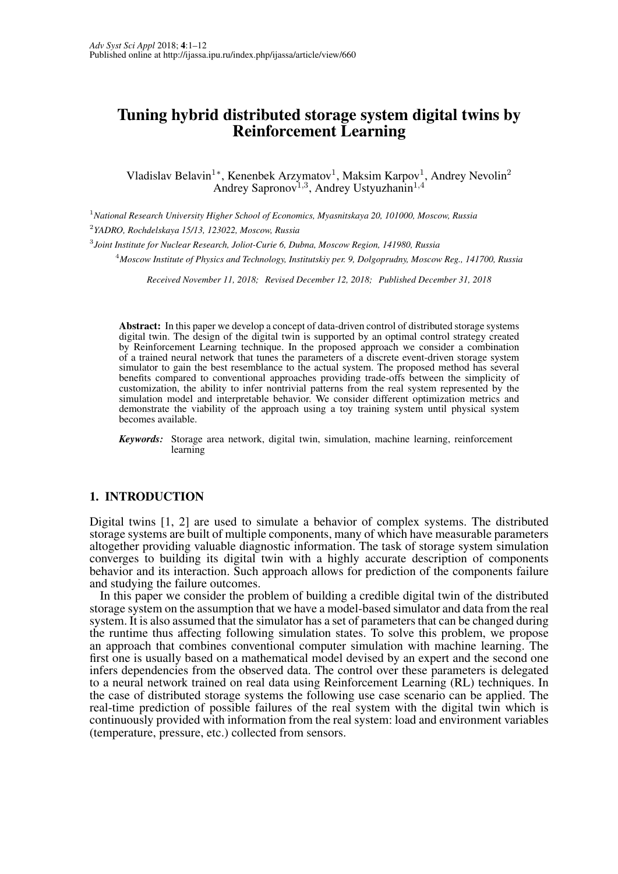# Tuning hybrid distributed storage system digital twins by Reinforcement Learning

Vladislav Belavin<sup>1</sup>\*, Kenenbek Arzymatov<sup>1</sup>, Maksim Karpov<sup>1</sup>, Andrey Nevolin<sup>2</sup> Andrey Sapronov<sup>1,3</sup>, Andrey Ustyuzhanin<sup>1,4</sup>

<sup>1</sup>*National Research University Higher School of Economics, Myasnitskaya 20, 101000, Moscow, Russia*

2 *YADRO, Rochdelskaya 15/13, 123022, Moscow, Russia*

3 *Joint Institute for Nuclear Research, Joliot-Curie 6, Dubna, Moscow Region, 141980, Russia*

<sup>4</sup>*Moscow Institute of Physics and Technology, Institutskiy per. 9, Dolgoprudny, Moscow Reg., 141700, Russia*

*Received November 11, 2018; Revised December 12, 2018; Published December 31, 2018*

Abstract: In this paper we develop a concept of data-driven control of distributed storage systems digital twin. The design of the digital twin is supported by an optimal control strategy created by Reinforcement Learning technique. In the proposed approach we consider a combination of a trained neural network that tunes the parameters of a discrete event-driven storage system simulator to gain the best resemblance to the actual system. The proposed method has several benefits compared to conventional approaches providing trade-offs between the simplicity of customization, the ability to infer nontrivial patterns from the real system represented by the simulation model and interpretable behavior. We consider different optimization metrics and demonstrate the viability of the approach using a toy training system until physical system becomes available.

*Keywords:* Storage area network, digital twin, simulation, machine learning, reinforcement learning

## 1. INTRODUCTION

Digital twins [1, 2] are used to simulate a behavior of complex systems. The distributed storage systems are built of multiple components, many of which have measurable parameters altogether providing valuable diagnostic information. The task of storage system simulation converges to building its digital twin with a highly accurate description of components behavior and its interaction. Such approach allows for prediction of the components failure and studying the failure outcomes.

In this paper we consider the problem of building a credible digital twin of the distributed storage system on the assumption that we have a model-based simulator and data from the real system. It is also assumed that the simulator has a set of parameters that can be changed during the runtime thus affecting following simulation states. To solve this problem, we propose an approach that combines conventional computer simulation with machine learning. The first one is usually based on a mathematical model devised by an expert and the second one infers dependencies from the observed data. The control over these parameters is delegated to a neural network trained on real data using Reinforcement Learning (RL) techniques. In the case of distributed storage systems the following use case scenario can be applied. The real-time prediction of possible failures of the real system with the digital twin which is continuously provided with information from the real system: load and environment variables (temperature, pressure, etc.) collected from sensors.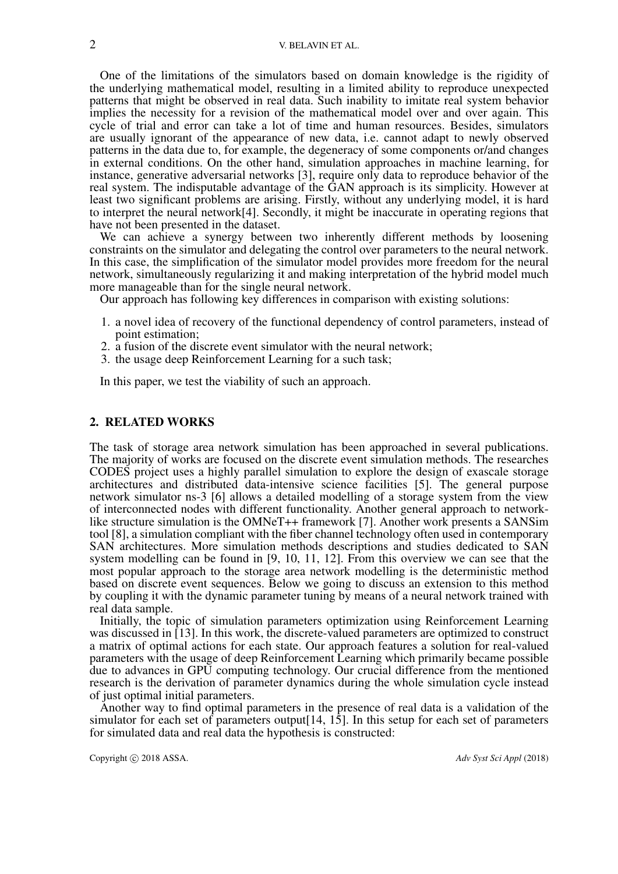One of the limitations of the simulators based on domain knowledge is the rigidity of the underlying mathematical model, resulting in a limited ability to reproduce unexpected patterns that might be observed in real data. Such inability to imitate real system behavior implies the necessity for a revision of the mathematical model over and over again. This cycle of trial and error can take a lot of time and human resources. Besides, simulators are usually ignorant of the appearance of new data, i.e. cannot adapt to newly observed patterns in the data due to, for example, the degeneracy of some components or/and changes in external conditions. On the other hand, simulation approaches in machine learning, for instance, generative adversarial networks [3], require only data to reproduce behavior of the real system. The indisputable advantage of the GAN approach is its simplicity. However at least two significant problems are arising. Firstly, without any underlying model, it is hard to interpret the neural network[4]. Secondly, it might be inaccurate in operating regions that have not been presented in the dataset.

We can achieve a synergy between two inherently different methods by loosening constraints on the simulator and delegating the control over parameters to the neural network. In this case, the simplification of the simulator model provides more freedom for the neural network, simultaneously regularizing it and making interpretation of the hybrid model much more manageable than for the single neural network.

Our approach has following key differences in comparison with existing solutions:

- 1. a novel idea of recovery of the functional dependency of control parameters, instead of point estimation;
- 2. a fusion of the discrete event simulator with the neural network;
- 3. the usage deep Reinforcement Learning for a such task;

In this paper, we test the viability of such an approach.

## 2. RELATED WORKS

The task of storage area network simulation has been approached in several publications. The majority of works are focused on the discrete event simulation methods. The researches CODES project uses a highly parallel simulation to explore the design of exascale storage architectures and distributed data-intensive science facilities [5]. The general purpose network simulator ns-3 [6] allows a detailed modelling of a storage system from the view of interconnected nodes with different functionality. Another general approach to networklike structure simulation is the OMNeT++ framework [7]. Another work presents a SANSim tool [8], a simulation compliant with the fiber channel technology often used in contemporary SAN architectures. More simulation methods descriptions and studies dedicated to SAN system modelling can be found in [9, 10, 11, 12]. From this overview we can see that the most popular approach to the storage area network modelling is the deterministic method based on discrete event sequences. Below we going to discuss an extension to this method by coupling it with the dynamic parameter tuning by means of a neural network trained with real data sample.

Initially, the topic of simulation parameters optimization using Reinforcement Learning was discussed in [13]. In this work, the discrete-valued parameters are optimized to construct a matrix of optimal actions for each state. Our approach features a solution for real-valued parameters with the usage of deep Reinforcement Learning which primarily became possible due to advances in GPU computing technology. Our crucial difference from the mentioned research is the derivation of parameter dynamics during the whole simulation cycle instead of just optimal initial parameters.

Another way to find optimal parameters in the presence of real data is a validation of the simulator for each set of parameters output<sup>[14, 15]</sup>. In this setup for each set of parameters for simulated data and real data the hypothesis is constructed: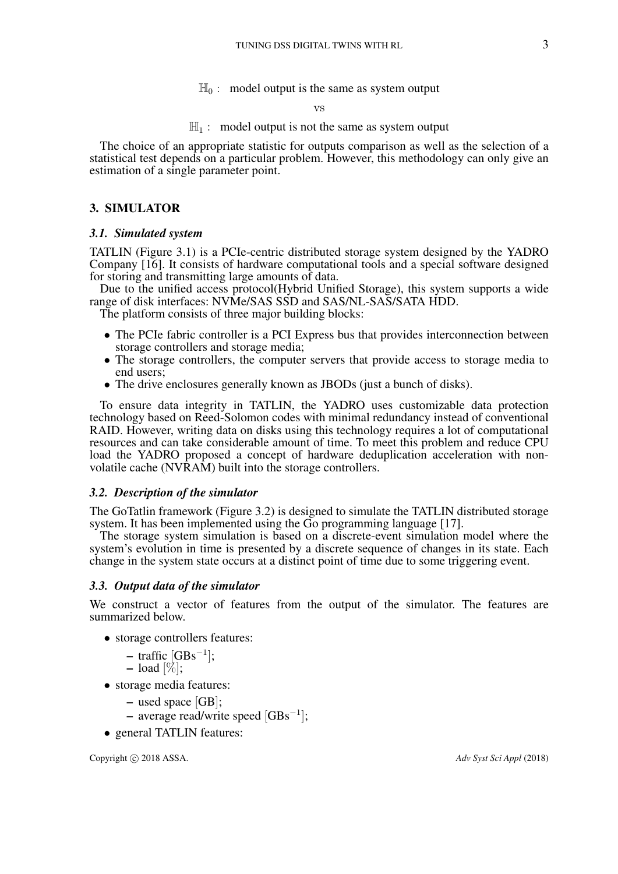$\mathbb{H}_0$ : model output is the same as system output

#### vs

## $\mathbb{H}_1$  : model output is not the same as system output

The choice of an appropriate statistic for outputs comparison as well as the selection of a statistical test depends on a particular problem. However, this methodology can only give an estimation of a single parameter point.

## 3. SIMULATOR

## *3.1. Simulated system*

TATLIN (Figure 3.1) is a PCIe-centric distributed storage system designed by the YADRO Company [16]. It consists of hardware computational tools and a special software designed for storing and transmitting large amounts of data.

Due to the unified access protocol(Hybrid Unified Storage), this system supports a wide range of disk interfaces: NVMe/SAS SSD and SAS/NL-SAS/SATA HDD.

The platform consists of three major building blocks:

- The PCIe fabric controller is a PCI Express bus that provides interconnection between storage controllers and storage media;
- The storage controllers, the computer servers that provide access to storage media to end users;
- The drive enclosures generally known as JBODs (just a bunch of disks).

To ensure data integrity in TATLIN, the YADRO uses customizable data protection technology based on Reed-Solomon codes with minimal redundancy instead of conventional RAID. However, writing data on disks using this technology requires a lot of computational resources and can take considerable amount of time. To meet this problem and reduce CPU load the YADRO proposed a concept of hardware deduplication acceleration with nonvolatile cache (NVRAM) built into the storage controllers.

## *3.2. Description of the simulator*

The GoTatlin framework (Figure 3.2) is designed to simulate the TATLIN distributed storage system. It has been implemented using the Go programming language [17].

The storage system simulation is based on a discrete-event simulation model where the system's evolution in time is presented by a discrete sequence of changes in its state. Each change in the system state occurs at a distinct point of time due to some triggering event.

## *3.3. Output data of the simulator*

We construct a vector of features from the output of the simulator. The features are summarized below.

- storage controllers features:
	- $-$  traffic  $[GBs^{-1}];$
	- $-$  load  $[\%];$
- storage media features:
	- used space [GB];
	- average read/write speed [GBs<sup>−</sup><sup>1</sup> ];
- general TATLIN features: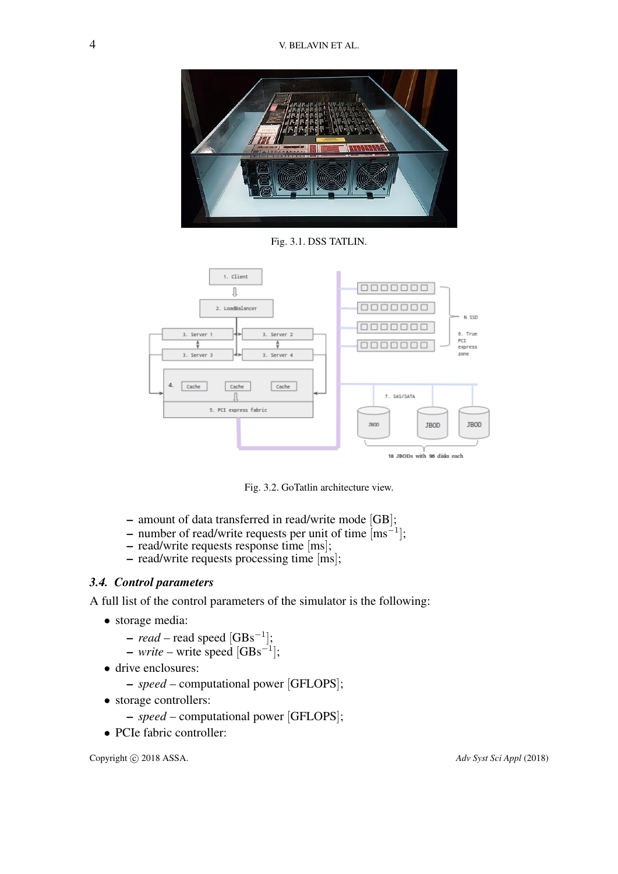

Fig. 3.1. DSS TATLIN.



Fig. 3.2. GoTatlin architecture view.

- amount of data transferred in read/write mode [GB];
- number of read/write requests per unit of time  $\text{[ms}^{-1]}$ ;
- read/write requests response time [ms];
- read/write requests processing time [ms];

# *3.4. Control parameters*

A full list of the control parameters of the simulator is the following:

- storage media:
	- *read* read speed [GBs<sup>−</sup><sup>1</sup> ];
	- *write* write speed [GBs<sup>−</sup><sup>1</sup> ];
- drive enclosures:
	- *speed* computational power [GFLOPS];
- storage controllers:
	- *speed* computational power [GFLOPS];
- PCIe fabric controller: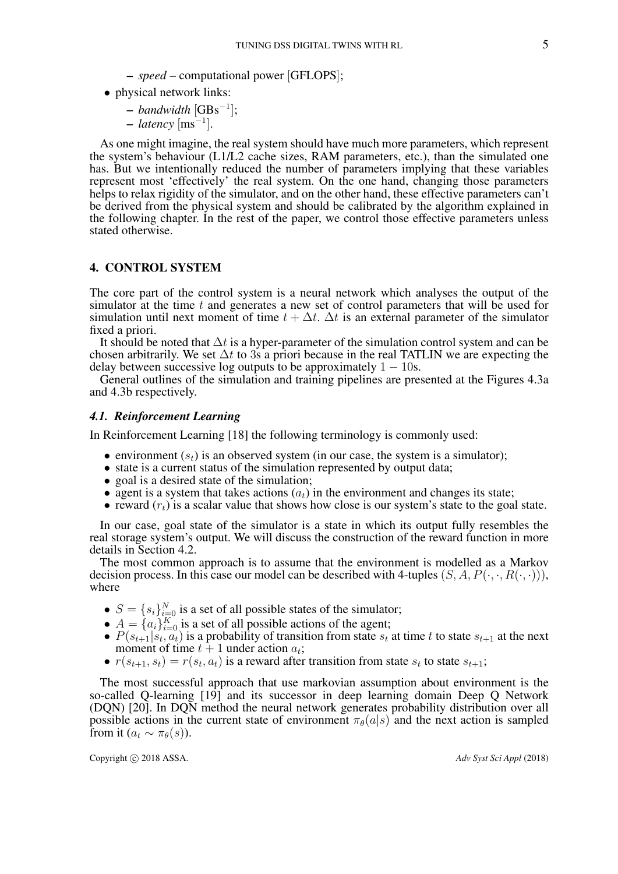– *speed* – computational power [GFLOPS];

• physical network links:

– *bandwidth* [GBs<sup>−</sup><sup>1</sup> ];

– *latency* [ms<sup>−</sup><sup>1</sup> ].

As one might imagine, the real system should have much more parameters, which represent the system's behaviour (L1/L2 cache sizes, RAM parameters, etc.), than the simulated one has. But we intentionally reduced the number of parameters implying that these variables represent most 'effectively' the real system. On the one hand, changing those parameters helps to relax rigidity of the simulator, and on the other hand, these effective parameters can't be derived from the physical system and should be calibrated by the algorithm explained in the following chapter. In the rest of the paper, we control those effective parameters unless stated otherwise.

## 4. CONTROL SYSTEM

The core part of the control system is a neural network which analyses the output of the simulator at the time  $t$  and generates a new set of control parameters that will be used for simulation until next moment of time  $t + \Delta t$ .  $\Delta t$  is an external parameter of the simulator fixed a priori.

It should be noted that  $\Delta t$  is a hyper-parameter of the simulation control system and can be chosen arbitrarily. We set  $\Delta t$  to 3s a priori because in the real TATLIN we are expecting the delay between successive log outputs to be approximately  $1 - 10s$ .

General outlines of the simulation and training pipelines are presented at the Figures 4.3a and 4.3b respectively.

## *4.1. Reinforcement Learning*

In Reinforcement Learning [18] the following terminology is commonly used:

- environment  $(s_t)$  is an observed system (in our case, the system is a simulator);
- state is a current status of the simulation represented by output data;
- goal is a desired state of the simulation;
- agent is a system that takes actions  $(a_t)$  in the environment and changes its state;
- reward  $(r_t)$  is a scalar value that shows how close is our system's state to the goal state.

In our case, goal state of the simulator is a state in which its output fully resembles the real storage system's output. We will discuss the construction of the reward function in more details in Section 4.2.

The most common approach is to assume that the environment is modelled as a Markov decision process. In this case our model can be described with 4-tuples  $(S, A, P(\cdot, \cdot, R(\cdot, \cdot))),$ where

- $S = \{s_i\}_{i=0}^N$  is a set of all possible states of the simulator;
- $A = \{a_i\}_{i=0}^K$  is a set of all possible actions of the agent;
- $P(s_{t+1}|s_t, a_t)$  is a probability of transition from state  $s_t$  at time t to state  $s_{t+1}$  at the next moment of time  $t + 1$  under action  $a_t$ ;
- $r(s_{t+1}, s_t) = r(s_t, a_t)$  is a reward after transition from state  $s_t$  to state  $s_{t+1}$ ;

The most successful approach that use markovian assumption about environment is the so-called Q-learning [19] and its successor in deep learning domain Deep Q Network (DQN) [20]. In DQN method the neural network generates probability distribution over all possible actions in the current state of environment  $\pi_{\theta}(a|s)$  and the next action is sampled from it  $(a_t \sim \pi_\theta(s))$ .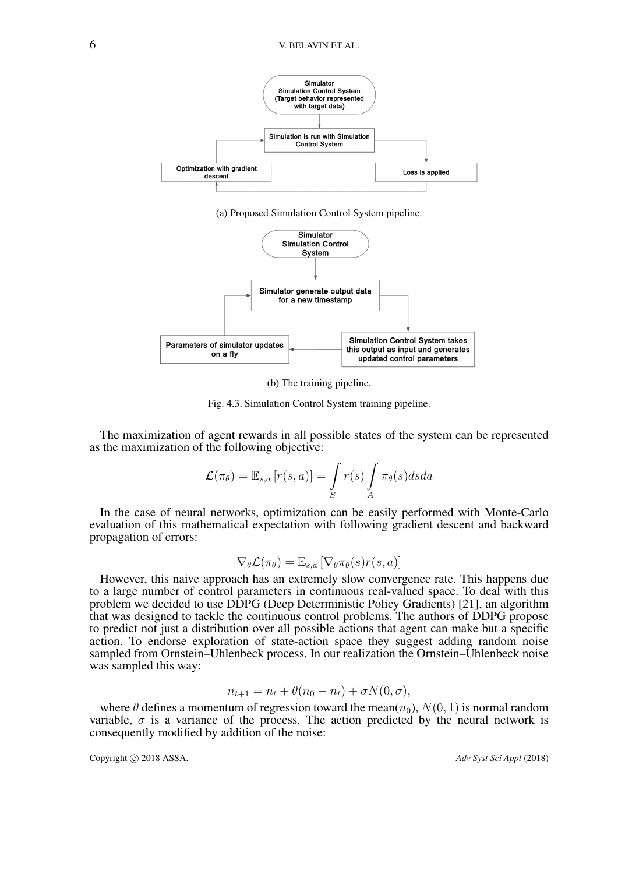

(a) Proposed Simulation Control System pipeline.



(b) The training pipeline.

Fig. 4.3. Simulation Control System training pipeline.

The maximization of agent rewards in all possible states of the system can be represented as the maximization of the following objective:

$$
\mathcal{L}(\pi_{\theta}) = \mathbb{E}_{s,a} [r(s,a)] = \int\limits_{S} r(s) \int\limits_{A} \pi_{\theta}(s) ds da
$$

In the case of neural networks, optimization can be easily performed with Monte-Carlo evaluation of this mathematical expectation with following gradient descent and backward propagation of errors:

$$
\nabla_{\theta} \mathcal{L}(\pi_{\theta}) = \mathbb{E}_{s,a} \left[ \nabla_{\theta} \pi_{\theta}(s) r(s, a) \right]
$$

However, this naive approach has an extremely slow convergence rate. This happens due to a large number of control parameters in continuous real-valued space. To deal with this problem we decided to use DDPG (Deep Deterministic Policy Gradients) [21], an algorithm that was designed to tackle the continuous control problems. The authors of DDPG propose to predict not just a distribution over all possible actions that agent can make but a specific action. To endorse exploration of state-action space they suggest adding random noise sampled from Ornstein–Uhlenbeck process. In our realization the Ornstein–Uhlenbeck noise was sampled this way:

$$
n_{t+1} = n_t + \theta(n_0 - n_t) + \sigma N(0, \sigma),
$$

where  $\theta$  defines a momentum of regression toward the mean $(n_0)$ ,  $N(0, 1)$  is normal random variable,  $\sigma$  is a variance of the process. The action predicted by the neural network is consequently modified by addition of the noise: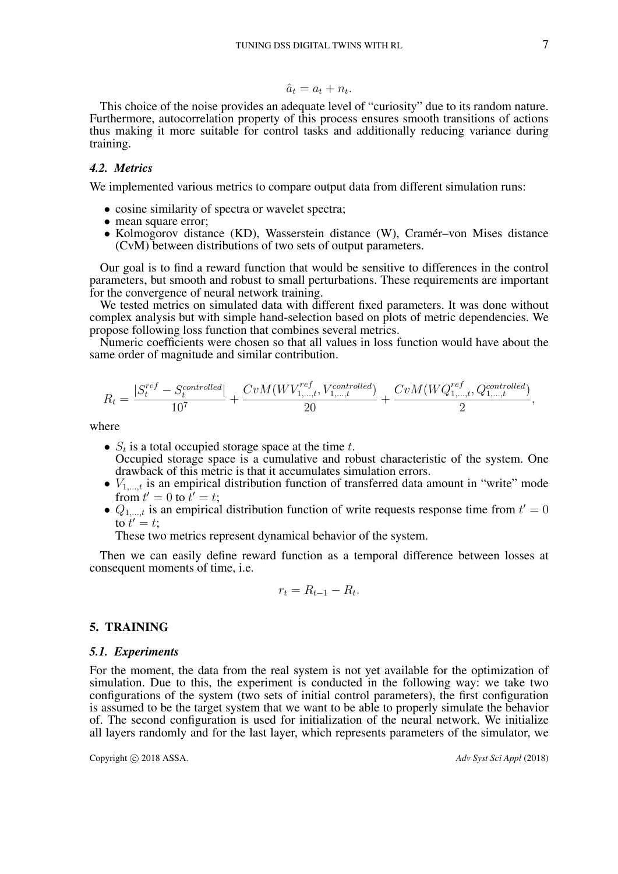$$
\hat{a}_t = a_t + n_t.
$$

This choice of the noise provides an adequate level of "curiosity" due to its random nature. Furthermore, autocorrelation property of this process ensures smooth transitions of actions thus making it more suitable for control tasks and additionally reducing variance during training.

## *4.2. Metrics*

We implemented various metrics to compare output data from different simulation runs:

- cosine similarity of spectra or wavelet spectra;
- mean square error;
- Kolmogorov distance (KD), Wasserstein distance (W), Cramér–von Mises distance (CvM) between distributions of two sets of output parameters.

Our goal is to find a reward function that would be sensitive to differences in the control parameters, but smooth and robust to small perturbations. These requirements are important for the convergence of neural network training.

We tested metrics on simulated data with different fixed parameters. It was done without complex analysis but with simple hand-selection based on plots of metric dependencies. We propose following loss function that combines several metrics.

Numeric coefficients were chosen so that all values in loss function would have about the same order of magnitude and similar contribution.

$$
R_t = \frac{|S_t^{ref} - S_t^{controlled}|}{10^7} + \frac{CvM(WV_{1,\dots,t}^{ref}, V_{1,\dots,t}^{controlled})}{20} + \frac{CvM(WQ_{1,\dots,t}^{ref}, Q_{1,\dots,t}^{controlled})}{2},
$$

where

- $S_t$  is a total occupied storage space at the time t. Occupied storage space is a cumulative and robust characteristic of the system. One drawback of this metric is that it accumulates simulation errors.
- $V_{1,\ldots,t}$  is an empirical distribution function of transferred data amount in "write" mode from  $t' = 0$  to  $\overline{t'} = t$ ;
- $Q_{1,\dots,t}$  is an empirical distribution function of write requests response time from  $t' = 0$ to  $t' = t$ ;

These two metrics represent dynamical behavior of the system.

Then we can easily define reward function as a temporal difference between losses at consequent moments of time, i.e.

$$
r_t = R_{t-1} - R_t.
$$

## 5. TRAINING

#### *5.1. Experiments*

For the moment, the data from the real system is not yet available for the optimization of simulation. Due to this, the experiment is conducted in the following way: we take two configurations of the system (two sets of initial control parameters), the first configuration is assumed to be the target system that we want to be able to properly simulate the behavior of. The second configuration is used for initialization of the neural network. We initialize all layers randomly and for the last layer, which represents parameters of the simulator, we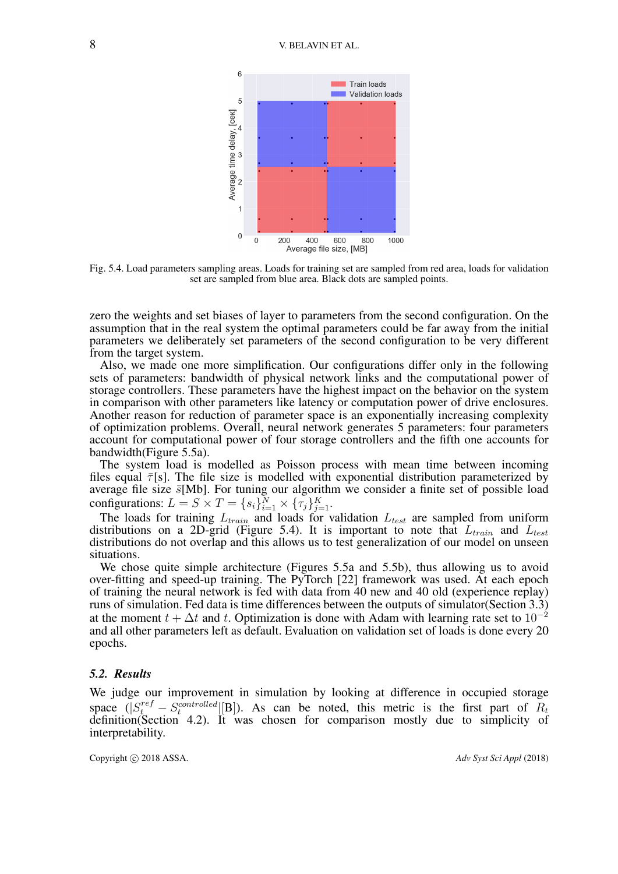

Fig. 5.4. Load parameters sampling areas. Loads for training set are sampled from red area, loads for validation set are sampled from blue area. Black dots are sampled points.

zero the weights and set biases of layer to parameters from the second configuration. On the assumption that in the real system the optimal parameters could be far away from the initial parameters we deliberately set parameters of the second configuration to be very different from the target system.

Also, we made one more simplification. Our configurations differ only in the following sets of parameters: bandwidth of physical network links and the computational power of storage controllers. These parameters have the highest impact on the behavior on the system in comparison with other parameters like latency or computation power of drive enclosures. Another reason for reduction of parameter space is an exponentially increasing complexity of optimization problems. Overall, neural network generates 5 parameters: four parameters account for computational power of four storage controllers and the fifth one accounts for bandwidth(Figure 5.5a).

The system load is modelled as Poisson process with mean time between incoming files equal  $\bar{\tau}[s]$ . The file size is modelled with exponential distribution parameterized by average file size  $\bar{s}$ [Mb]. For tuning our algorithm we consider a finite set of possible load configurations:  $L = S \times T = \{s_i\}_{i=1}^N \times \{\tau_j\}_{j=1}^K$ .

The loads for training  $L_{train}$  and loads for validation  $L_{test}$  are sampled from uniform distributions on a 2D-grid (Figure 5.4). It is important to note that  $L_{train}$  and  $L_{test}$ distributions do not overlap and this allows us to test generalization of our model on unseen situations.

We chose quite simple architecture (Figures 5.5a and 5.5b), thus allowing us to avoid over-fitting and speed-up training. The PyTorch [22] framework was used. At each epoch of training the neural network is fed with data from 40 new and 40 old (experience replay) runs of simulation. Fed data is time differences between the outputs of simulator(Section 3.3) at the moment  $t + \Delta t$  and t. Optimization is done with Adam with learning rate set to  $10^{-2}$ and all other parameters left as default. Evaluation on validation set of loads is done every 20 epochs.

#### *5.2. Results*

We judge our improvement in simulation by looking at difference in occupied storage space  $(|S_t^{ref} - S_t^{controlled}[[B])$ . As can be noted, this metric is the first part of  $R_t$ definition(Section 4.2). It was chosen for comparison mostly due to simplicity of interpretability.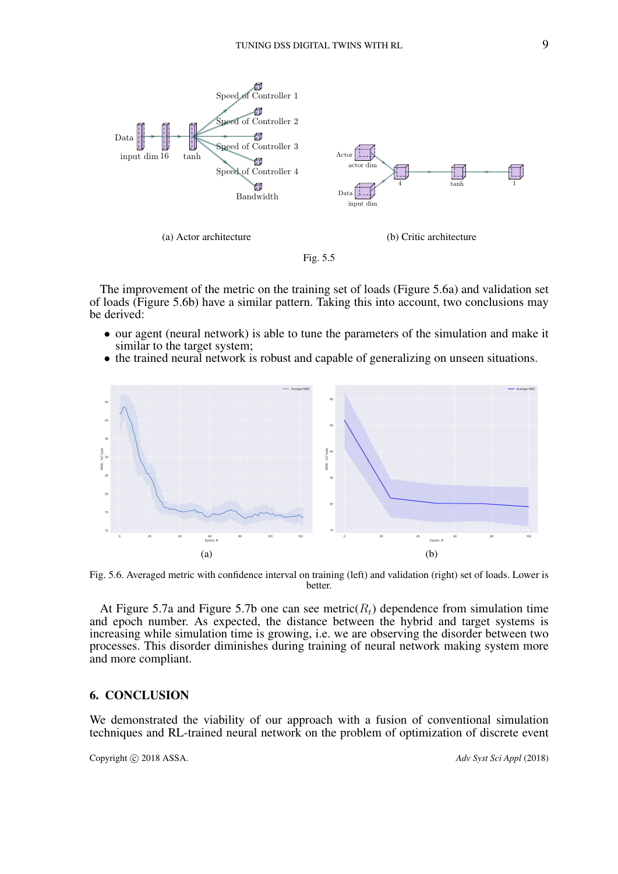

The improvement of the metric on the training set of loads (Figure 5.6a) and validation set of loads (Figure 5.6b) have a similar pattern. Taking this into account, two conclusions may be derived:

- our agent (neural network) is able to tune the parameters of the simulation and make it similar to the target system;
- the trained neural network is robust and capable of generalizing on unseen situations.



Fig. 5.6. Averaged metric with confidence interval on training (left) and validation (right) set of loads. Lower is better.

At Figure 5.7a and Figure 5.7b one can see metric( $R_t$ ) dependence from simulation time and epoch number. As expected, the distance between the hybrid and target systems is increasing while simulation time is growing, i.e. we are observing the disorder between two processes. This disorder diminishes during training of neural network making system more and more compliant.

## 6. CONCLUSION

We demonstrated the viability of our approach with a fusion of conventional simulation techniques and RL-trained neural network on the problem of optimization of discrete event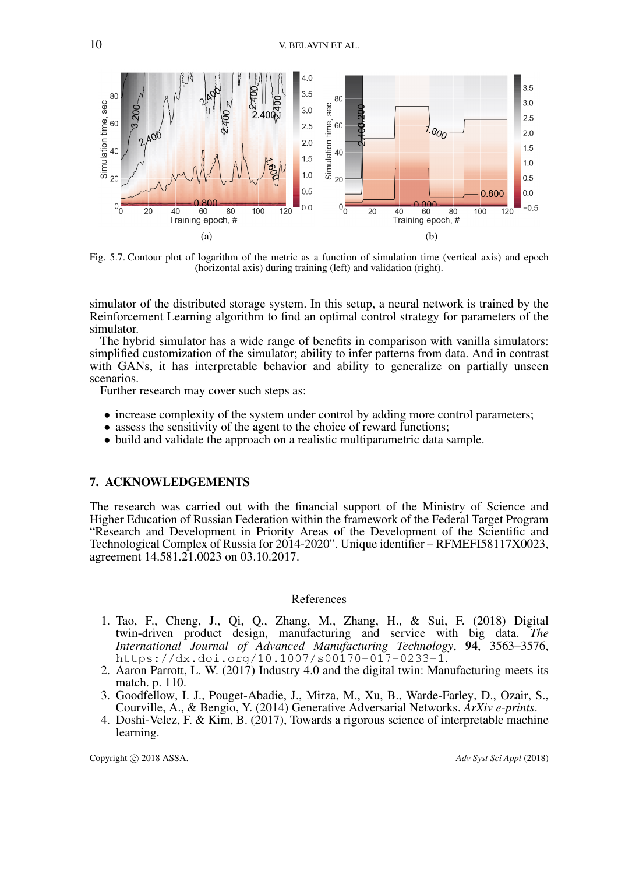

Fig. 5.7. Contour plot of logarithm of the metric as a function of simulation time (vertical axis) and epoch (horizontal axis) during training (left) and validation (right).

simulator of the distributed storage system. In this setup, a neural network is trained by the Reinforcement Learning algorithm to find an optimal control strategy for parameters of the simulator.

The hybrid simulator has a wide range of benefits in comparison with vanilla simulators: simplified customization of the simulator; ability to infer patterns from data. And in contrast with GANs, it has interpretable behavior and ability to generalize on partially unseen scenarios.

Further research may cover such steps as:

- increase complexity of the system under control by adding more control parameters;
- assess the sensitivity of the agent to the choice of reward functions;
- build and validate the approach on a realistic multiparametric data sample.

## 7. ACKNOWLEDGEMENTS

The research was carried out with the financial support of the Ministry of Science and Higher Education of Russian Federation within the framework of the Federal Target Program "Research and Development in Priority Areas of the Development of the Scientific and Technological Complex of Russia for 2014-2020". Unique identifier – RFMEFI58117X0023, agreement 14.581.21.0023 on 03.10.2017.

## References

- 1. Tao, F., Cheng, J., Qi, Q., Zhang, M., Zhang, H., & Sui, F. (2018) Digital twin-driven product design, manufacturing and service with big data. *The International Journal of Advanced Manufacturing Technology*, 94, 3563–3576, https://dx.doi.org/10.1007/s00170-017-0233-1.
- 2. Aaron Parrott, L. W. (2017) Industry 4.0 and the digital twin: Manufacturing meets its match. p. 110.
- 3. Goodfellow, I. J., Pouget-Abadie, J., Mirza, M., Xu, B., Warde-Farley, D., Ozair, S., Courville, A., & Bengio, Y. (2014) Generative Adversarial Networks. *ArXiv e-prints*.
- 4. Doshi-Velez, F. & Kim, B. (2017), Towards a rigorous science of interpretable machine learning.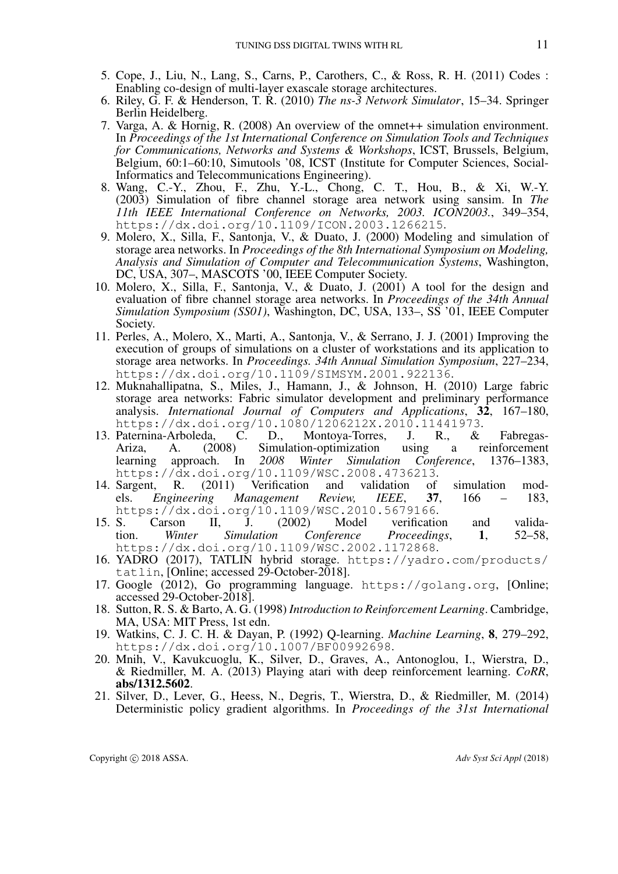- 5. Cope, J., Liu, N., Lang, S., Carns, P., Carothers, C., & Ross, R. H. (2011) Codes : Enabling co-design of multi-layer exascale storage architectures.
- 6. Riley, G. F. & Henderson, T. R. (2010) *The ns-3 Network Simulator*, 15–34. Springer Berlin Heidelberg.
- 7. Varga, A. & Hornig, R. (2008) An overview of the omnet++ simulation environment. In *Proceedings of the 1st International Conference on Simulation Tools and Techniques for Communications, Networks and Systems & Workshops*, ICST, Brussels, Belgium, Belgium, 60:1–60:10, Simutools '08, ICST (Institute for Computer Sciences, Social-Informatics and Telecommunications Engineering).
- 8. Wang, C.-Y., Zhou, F., Zhu, Y.-L., Chong, C. T., Hou, B., & Xi, W.-Y. (2003) Simulation of fibre channel storage area network using sansim. In *The 11th IEEE International Conference on Networks, 2003. ICON2003.*, 349–354, https://dx.doi.org/10.1109/ICON.2003.1266215.
- 9. Molero, X., Silla, F., Santonja, V., & Duato, J. (2000) Modeling and simulation of storage area networks. In *Proceedings of the 8th International Symposium on Modeling, Analysis and Simulation of Computer and Telecommunication Systems*, Washington, DC, USA, 307–, MASCOTS '00, IEEE Computer Society.
- 10. Molero, X., Silla, F., Santonja, V., & Duato, J. (2001) A tool for the design and evaluation of fibre channel storage area networks. In *Proceedings of the 34th Annual Simulation Symposium (SS01)*, Washington, DC, USA, 133–, SS '01, IEEE Computer Society.
- 11. Perles, A., Molero, X., Marti, A., Santonja, V., & Serrano, J. J. (2001) Improving the execution of groups of simulations on a cluster of workstations and its application to storage area networks. In *Proceedings. 34th Annual Simulation Symposium*, 227–234, https://dx.doi.org/10.1109/SIMSYM.2001.922136.
- 12. Muknahallipatna, S., Miles, J., Hamann, J., & Johnson, H. (2010) Large fabric storage area networks: Fabric simulator development and preliminary performance analysis. *International Journal of Computers and Applications*, 32, 167–180, https://dx.doi.org/10.1080/1206212X.2010.11441973.
- 13. Paternina-Arboleda, C. D., Montoya-Torres, J. R., & Fabregas-Ariza, A. (2008) Simulation-optimization using a reinforcement learning approach. In *2008 Winter Simulation Conference*, 1376–1383, https://dx.doi.org/10.1109/WSC.2008.4736213.
- 14. Sargent, R. (2011) Verification and validation of simulation models. *Engineering Management Review, IEEE*, 37, 166 – 183, https://dx.doi.org/10.1109/WSC.2010.5679166.
- 15. S. Carson II, J. (2002) Model verification and validation. *Winter Simulation Conference Proceedings*, 1, 52–58, https://dx.doi.org/10.1109/WSC.2002.1172868.
- 16. YADRO (2017), TATLIN hybrid storage. https://yadro.com/products/ tatlin, [Online; accessed 29-October-2018].
- 17. Google (2012), Go programming language. https://golang.org, [Online; accessed 29-October-2018].
- 18. Sutton, R. S. & Barto, A. G. (1998) *Introduction to Reinforcement Learning*. Cambridge, MA, USA: MIT Press, 1st edn.
- 19. Watkins, C. J. C. H. & Dayan, P. (1992) Q-learning. *Machine Learning*, 8, 279–292, https://dx.doi.org/10.1007/BF00992698.
- 20. Mnih, V., Kavukcuoglu, K., Silver, D., Graves, A., Antonoglou, I., Wierstra, D., & Riedmiller, M. A. (2013) Playing atari with deep reinforcement learning. *CoRR*, abs/1312.5602.
- 21. Silver, D., Lever, G., Heess, N., Degris, T., Wierstra, D., & Riedmiller, M. (2014) Deterministic policy gradient algorithms. In *Proceedings of the 31st International*